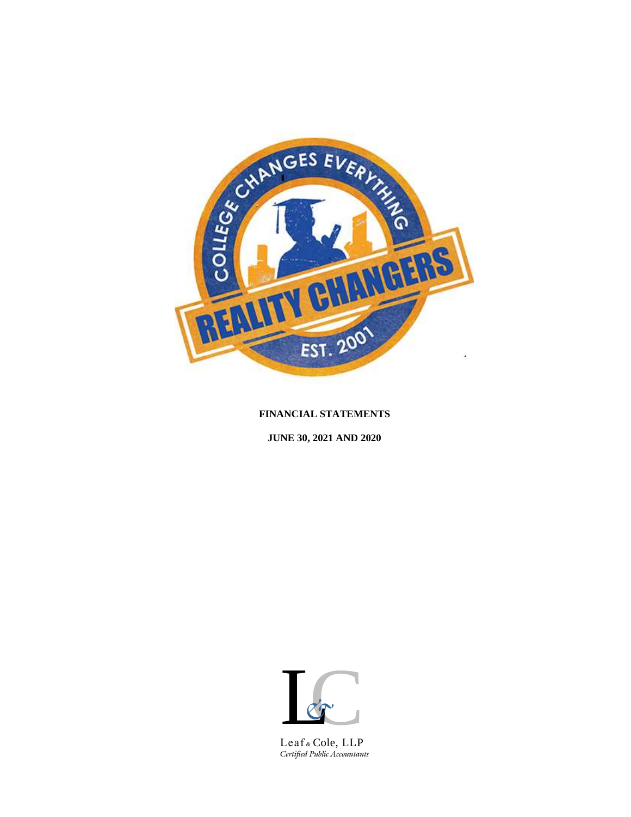

# **FINANCIAL STATEMENTS**

**JUNE 30, 2021 AND 2020**



*Certified Public Accountants* Leaf *&* Cole, LLP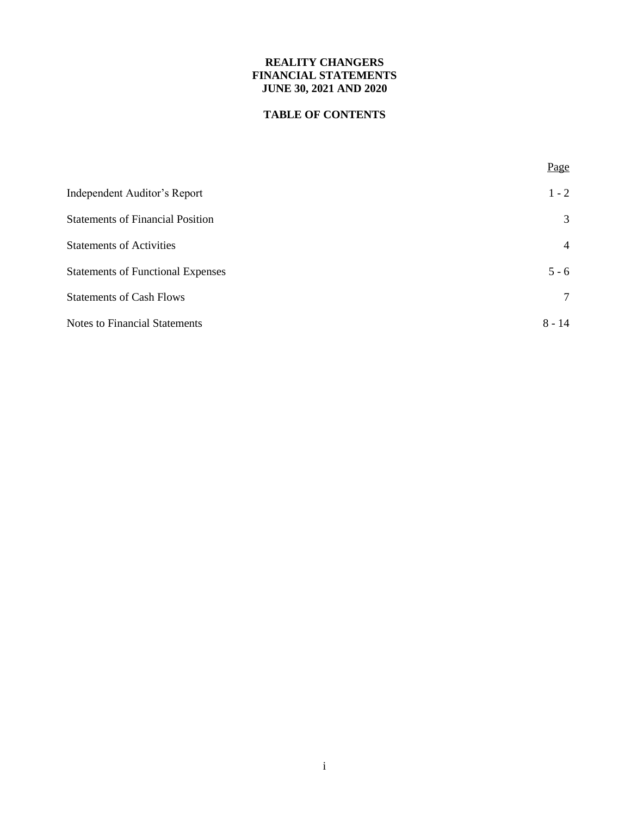# **TABLE OF CONTENTS**

Page

| Independent Auditor's Report             | $1 - 2$        |
|------------------------------------------|----------------|
| <b>Statements of Financial Position</b>  | 3              |
| <b>Statements of Activities</b>          | $\overline{4}$ |
| <b>Statements of Functional Expenses</b> | $5 - 6$        |
| <b>Statements of Cash Flows</b>          | 7              |
| <b>Notes to Financial Statements</b>     | $8 - 14$       |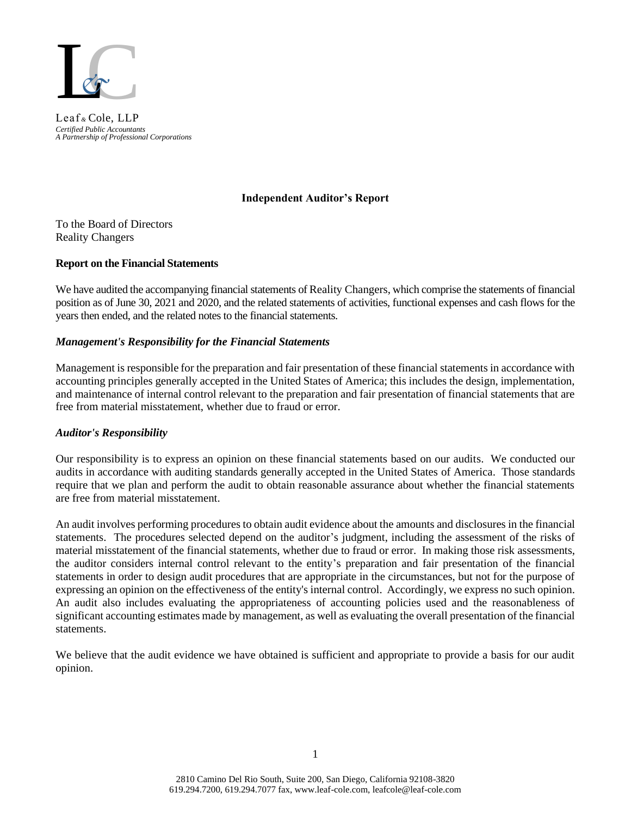

*Certified Public Accountants A Partnership of Professional Corporations* Leaf *&* Cole, LLP

# **Independent Auditor's Report**

To the Board of Directors Reality Changers

# **Report on the Financial Statements**

We have audited the accompanying financial statements of Reality Changers, which comprise the statements of financial position as of June 30, 2021 and 2020, and the related statements of activities, functional expenses and cash flows for the years then ended, and the related notes to the financial statements.

### *Management's Responsibility for the Financial Statements*

Management is responsible for the preparation and fair presentation of these financial statements in accordance with accounting principles generally accepted in the United States of America; this includes the design, implementation, and maintenance of internal control relevant to the preparation and fair presentation of financial statements that are free from material misstatement, whether due to fraud or error.

# *Auditor's Responsibility*

Our responsibility is to express an opinion on these financial statements based on our audits. We conducted our audits in accordance with auditing standards generally accepted in the United States of America. Those standards require that we plan and perform the audit to obtain reasonable assurance about whether the financial statements are free from material misstatement.

An audit involves performing procedures to obtain audit evidence about the amounts and disclosures in the financial statements. The procedures selected depend on the auditor's judgment, including the assessment of the risks of material misstatement of the financial statements, whether due to fraud or error. In making those risk assessments, the auditor considers internal control relevant to the entity's preparation and fair presentation of the financial statements in order to design audit procedures that are appropriate in the circumstances, but not for the purpose of expressing an opinion on the effectiveness of the entity's internal control. Accordingly, we express no such opinion. An audit also includes evaluating the appropriateness of accounting policies used and the reasonableness of significant accounting estimates made by management, as well as evaluating the overall presentation of the financial statements.

We believe that the audit evidence we have obtained is sufficient and appropriate to provide a basis for our audit opinion.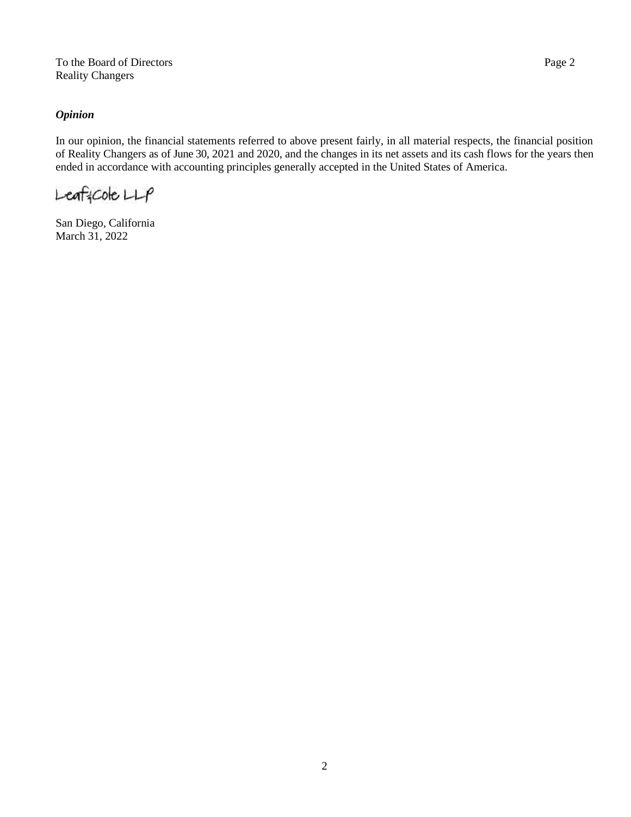To the Board of Directors Page 2 Reality Changers

### *Opinion*

In our opinion, the financial statements referred to above present fairly, in all material respects, the financial position of Reality Changers as of June 30, 2021 and 2020, and the changes in its net assets and its cash flows for the years then ended in accordance with accounting principles generally accepted in the United States of America.

Leaffcole LLP

San Diego, California March 31, 2022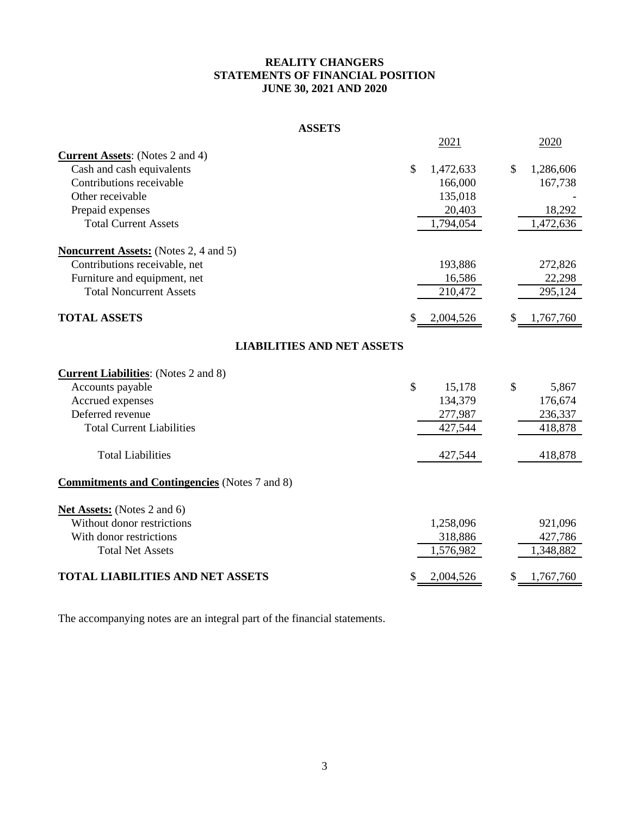# **REALITY CHANGERS STATEMENTS OF FINANCIAL POSITION JUNE 30, 2021 AND 2020**

| <b>ASSETS</b> |
|---------------|
|---------------|

|                                                      | 2021                       |              | 2020      |
|------------------------------------------------------|----------------------------|--------------|-----------|
| <b>Current Assets:</b> (Notes 2 and 4)               |                            |              |           |
| Cash and cash equivalents                            | $\mathcal{S}$<br>1,472,633 | $\mathbb{S}$ | 1,286,606 |
| Contributions receivable                             | 166,000                    |              | 167,738   |
| Other receivable                                     | 135,018                    |              |           |
| Prepaid expenses                                     | 20,403                     |              | 18,292    |
| <b>Total Current Assets</b>                          | 1,794,054                  |              | 1,472,636 |
| <b>Noncurrent Assets:</b> (Notes 2, 4 and 5)         |                            |              |           |
| Contributions receivable, net                        | 193,886                    |              | 272,826   |
| Furniture and equipment, net                         | 16,586                     |              | 22,298    |
| <b>Total Noncurrent Assets</b>                       | 210,472                    |              | 295,124   |
| <b>TOTAL ASSETS</b>                                  | 2,004,526<br>\$            |              | 1,767,760 |
| <b>LIABILITIES AND NET ASSETS</b>                    |                            |              |           |
| <b>Current Liabilities:</b> (Notes 2 and 8)          |                            |              |           |
| Accounts payable                                     | $\mathcal{S}$<br>15,178    | \$           | 5,867     |
| Accrued expenses                                     | 134,379                    |              | 176,674   |
| Deferred revenue                                     | 277,987                    |              | 236,337   |
| <b>Total Current Liabilities</b>                     | 427,544                    |              | 418,878   |
| <b>Total Liabilities</b>                             | 427,544                    |              | 418,878   |
| <b>Commitments and Contingencies</b> (Notes 7 and 8) |                            |              |           |
| Net Assets: (Notes 2 and 6)                          |                            |              |           |
| Without donor restrictions                           | 1,258,096                  |              | 921,096   |
| With donor restrictions                              | 318,886                    |              | 427,786   |
| <b>Total Net Assets</b>                              | 1,576,982                  |              | 1,348,882 |
| <b>TOTAL LIABILITIES AND NET ASSETS</b>              | 2,004,526<br>S.            | S            | 1,767,760 |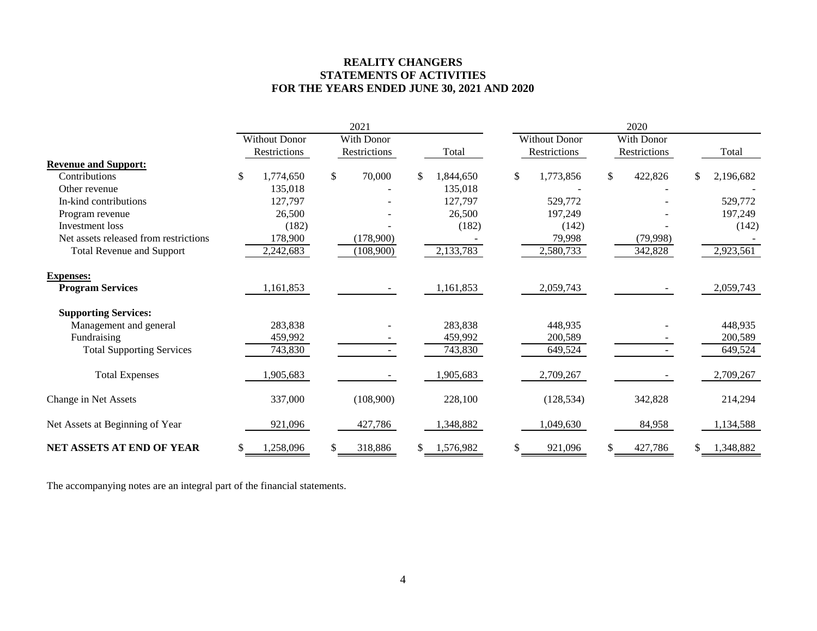# **REALITY CHANGERS STATEMENTS OF ACTIVITIES FOR THE YEARS ENDED JUNE 30, 2021 AND 2020**

|                                       |                      | 2021              |    |           | 2020 |                      |    |              |    |           |
|---------------------------------------|----------------------|-------------------|----|-----------|------|----------------------|----|--------------|----|-----------|
|                                       | <b>Without Donor</b> | <b>With Donor</b> |    |           |      | <b>Without Donor</b> |    | With Donor   |    |           |
|                                       | Restrictions         | Restrictions      |    | Total     |      | Restrictions         |    | Restrictions |    | Total     |
| <b>Revenue and Support:</b>           |                      |                   |    |           |      |                      |    |              |    |           |
| Contributions                         | \$<br>1,774,650      | \$<br>70,000      | S. | 1,844,650 | \$   | 1,773,856            | \$ | 422,826      | S. | 2,196,682 |
| Other revenue                         | 135,018              |                   |    | 135,018   |      |                      |    |              |    |           |
| In-kind contributions                 | 127,797              |                   |    | 127,797   |      | 529,772              |    |              |    | 529,772   |
| Program revenue                       | 26,500               |                   |    | 26,500    |      | 197,249              |    |              |    | 197,249   |
| Investment loss                       | (182)                |                   |    | (182)     |      | (142)                |    |              |    | (142)     |
| Net assets released from restrictions | 178,900              | (178,900)         |    |           |      | 79,998               |    | (79,998)     |    |           |
| <b>Total Revenue and Support</b>      | 2,242,683            | (108,900)         |    | 2,133,783 |      | 2,580,733            |    | 342,828      |    | 2,923,561 |
| <b>Expenses:</b>                      |                      |                   |    |           |      |                      |    |              |    |           |
| <b>Program Services</b>               | 1,161,853            |                   |    | 1,161,853 |      | 2,059,743            |    |              |    | 2,059,743 |
| <b>Supporting Services:</b>           |                      |                   |    |           |      |                      |    |              |    |           |
| Management and general                | 283,838              |                   |    | 283,838   |      | 448,935              |    |              |    | 448,935   |
| Fundraising                           | 459,992              |                   |    | 459,992   |      | 200,589              |    |              |    | 200,589   |
| <b>Total Supporting Services</b>      | 743,830              |                   |    | 743,830   |      | 649,524              |    |              |    | 649,524   |
| <b>Total Expenses</b>                 | 1,905,683            |                   |    | 1,905,683 |      | 2,709,267            |    |              |    | 2,709,267 |
| Change in Net Assets                  | 337,000              | (108,900)         |    | 228,100   |      | (128, 534)           |    | 342,828      |    | 214,294   |
| Net Assets at Beginning of Year       | 921,096              | 427,786           |    | 1,348,882 |      | 1,049,630            |    | 84,958       |    | 1,134,588 |
| NET ASSETS AT END OF YEAR             | \$<br>,258,096       | 318,886           |    | 1,576,982 |      | 921,096              |    | 427,786      |    | 1,348,882 |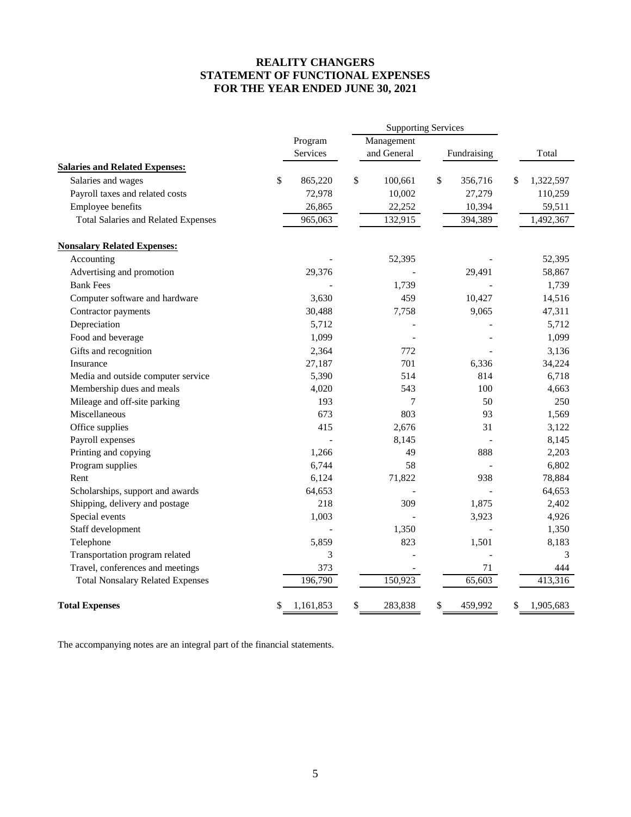# **REALITY CHANGERS STATEMENT OF FUNCTIONAL EXPENSES FOR THE YEAR ENDED JUNE 30, 2021**

|                                            |                 | <b>Supporting Services</b> |                |                           |
|--------------------------------------------|-----------------|----------------------------|----------------|---------------------------|
|                                            | Program         | Management                 |                |                           |
|                                            | Services        | and General                | Fundraising    | Total                     |
| <b>Salaries and Related Expenses:</b>      |                 |                            |                |                           |
| Salaries and wages                         | \$<br>865,220   | \$<br>100,661              | \$<br>356,716  | $\mathbb{S}$<br>1,322,597 |
| Payroll taxes and related costs            | 72,978          | 10,002                     | 27,279         | 110,259                   |
| Employee benefits                          | 26,865          | 22,252                     | 10,394         | 59,511                    |
| <b>Total Salaries and Related Expenses</b> | 965,063         | 132,915                    | 394,389        | 1,492,367                 |
| <b>Nonsalary Related Expenses:</b>         |                 |                            |                |                           |
| Accounting                                 |                 | 52,395                     |                | 52,395                    |
| Advertising and promotion                  | 29,376          |                            | 29,491         | 58,867                    |
| <b>Bank Fees</b>                           |                 | 1,739                      |                | 1,739                     |
| Computer software and hardware             | 3,630           | 459                        | 10,427         | 14,516                    |
| Contractor payments                        | 30,488          | 7,758                      | 9,065          | 47,311                    |
| Depreciation                               | 5,712           |                            |                | 5,712                     |
| Food and beverage                          | 1,099           |                            |                | 1,099                     |
| Gifts and recognition                      | 2,364           | 772                        |                | 3,136                     |
| Insurance                                  | 27,187          | 701                        | 6,336          | 34,224                    |
| Media and outside computer service         | 5,390           | 514                        | 814            | 6,718                     |
| Membership dues and meals                  | 4,020           | 543                        | 100            | 4,663                     |
| Mileage and off-site parking               | 193             | 7                          | 50             | 250                       |
| Miscellaneous                              | 673             | 803                        | 93             | 1,569                     |
| Office supplies                            | 415             | 2,676                      | 31             | 3,122                     |
| Payroll expenses                           |                 | 8,145                      |                | 8,145                     |
| Printing and copying                       | 1,266           | 49                         | 888            | 2,203                     |
| Program supplies                           | 6,744           | 58                         |                | 6,802                     |
| Rent                                       | 6,124           | 71,822                     | 938            | 78,884                    |
| Scholarships, support and awards           | 64,653          |                            |                | 64,653                    |
| Shipping, delivery and postage             | 218             | 309                        | 1,875          | 2,402                     |
| Special events                             | 1,003           |                            | 3,923          | 4,926                     |
| Staff development                          |                 | 1,350                      |                | 1,350                     |
| Telephone                                  | 5,859           | 823                        | 1,501          | 8,183                     |
| Transportation program related             | 3               |                            | $\overline{a}$ | 3                         |
| Travel, conferences and meetings           | 373             |                            | $71\,$         | 444                       |
| <b>Total Nonsalary Related Expenses</b>    | 196,790         | 150,923                    | 65,603         | 413,316                   |
| <b>Total Expenses</b>                      | \$<br>1,161,853 | \$<br>283,838              | \$<br>459,992  | \$<br>1,905,683           |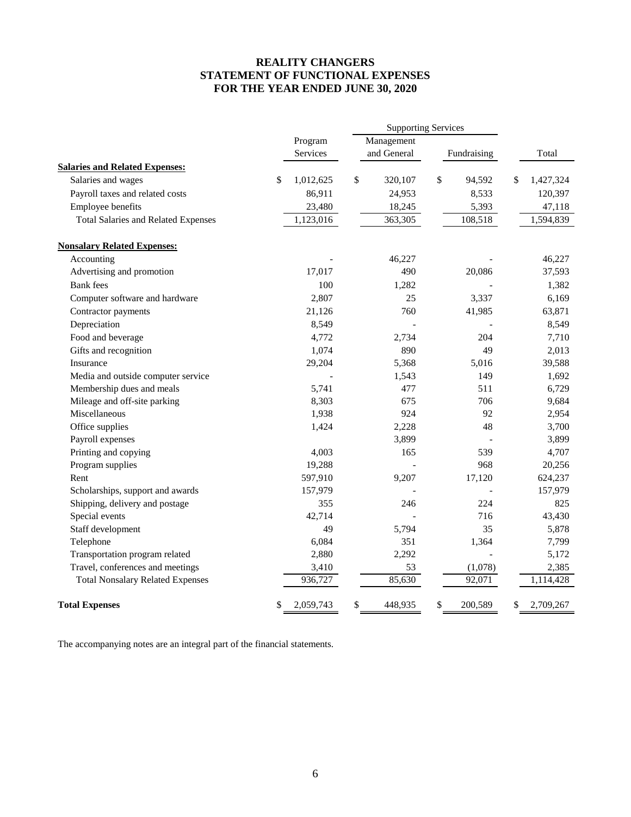# **REALITY CHANGERS STATEMENT OF FUNCTIONAL EXPENSES FOR THE YEAR ENDED JUNE 30, 2020**

|                                            |                 | <b>Supporting Services</b> |             |    |             |                        |
|--------------------------------------------|-----------------|----------------------------|-------------|----|-------------|------------------------|
|                                            | Program         |                            | Management  |    |             |                        |
|                                            | Services        |                            | and General |    | Fundraising | Total                  |
| <b>Salaries and Related Expenses:</b>      |                 |                            |             |    |             |                        |
| Salaries and wages                         | \$<br>1,012,625 | \$                         | 320,107     | \$ | 94,592      | \$<br>1,427,324        |
| Payroll taxes and related costs            | 86,911          |                            | 24,953      |    | 8,533       | 120,397                |
| Employee benefits                          | 23,480          |                            | 18,245      |    | 5,393       | 47,118                 |
| <b>Total Salaries and Related Expenses</b> | 1,123,016       |                            | 363,305     |    | 108,518     | 1,594,839              |
| <b>Nonsalary Related Expenses:</b>         |                 |                            |             |    |             |                        |
| Accounting                                 |                 |                            | 46,227      |    |             | 46,227                 |
| Advertising and promotion                  | 17,017          |                            | 490         |    | 20,086      | 37,593                 |
| <b>Bank</b> fees                           | 100             |                            | 1,282       |    |             | 1,382                  |
| Computer software and hardware             | 2,807           |                            | 25          |    | 3,337       | 6,169                  |
| Contractor payments                        | 21,126          |                            | 760         |    | 41,985      | 63,871                 |
| Depreciation                               | 8,549           |                            |             |    |             | 8,549                  |
| Food and beverage                          | 4,772           |                            | 2,734       |    | 204         | 7,710                  |
| Gifts and recognition                      | 1,074           |                            | 890         |    | 49          | 2,013                  |
| Insurance                                  | 29,204          |                            | 5,368       |    | 5,016       | 39,588                 |
| Media and outside computer service         |                 |                            | 1,543       |    | 149         | 1,692                  |
| Membership dues and meals                  | 5,741           |                            | 477         |    | 511         | 6,729                  |
| Mileage and off-site parking               | 8,303           |                            | 675         |    | 706         | 9,684                  |
| Miscellaneous                              | 1,938           |                            | 924         |    | 92          | 2,954                  |
| Office supplies                            | 1,424           |                            | 2,228       |    | 48          | 3,700                  |
| Payroll expenses                           |                 |                            | 3,899       |    |             | 3,899                  |
| Printing and copying                       | 4,003           |                            | 165         |    | 539         | 4,707                  |
| Program supplies                           | 19,288          |                            |             |    | 968         | 20,256                 |
| Rent                                       | 597,910         |                            | 9,207       |    | 17,120      | 624,237                |
| Scholarships, support and awards           | 157,979         |                            |             |    |             | 157,979                |
| Shipping, delivery and postage             | 355             |                            | 246         |    | 224         | 825                    |
| Special events                             | 42,714          |                            |             |    | 716         | 43,430                 |
| Staff development                          | 49              |                            | 5,794       |    | 35          | 5,878                  |
| Telephone                                  | 6,084           |                            | 351         |    | 1,364       | 7,799                  |
| Transportation program related             | 2,880           |                            | 2,292       |    |             | 5,172                  |
| Travel, conferences and meetings           | 3,410           |                            | 53          |    | (1,078)     | 2,385                  |
| <b>Total Nonsalary Related Expenses</b>    | 936,727         |                            | 85,630      |    | 92,071      | $\overline{1,}114,428$ |
| <b>Total Expenses</b>                      | \$<br>2,059,743 | \$                         | 448,935     | \$ | 200,589     | \$<br>2,709,267        |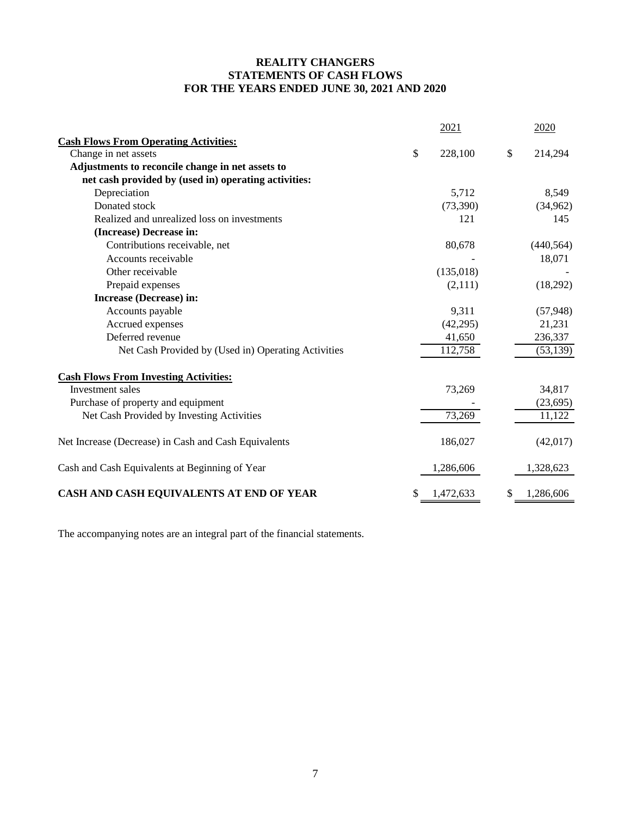# **REALITY CHANGERS STATEMENTS OF CASH FLOWS FOR THE YEARS ENDED JUNE 30, 2021 AND 2020**

|                                                      | 2021            | 2020            |
|------------------------------------------------------|-----------------|-----------------|
| <b>Cash Flows From Operating Activities:</b>         |                 |                 |
| Change in net assets                                 | \$<br>228,100   | \$<br>214,294   |
| Adjustments to reconcile change in net assets to     |                 |                 |
| net cash provided by (used in) operating activities: |                 |                 |
| Depreciation                                         | 5,712           | 8,549           |
| Donated stock                                        | (73,390)        | (34, 962)       |
| Realized and unrealized loss on investments          | 121             | 145             |
| (Increase) Decrease in:                              |                 |                 |
| Contributions receivable, net                        | 80,678          | (440, 564)      |
| Accounts receivable                                  |                 | 18,071          |
| Other receivable                                     | (135, 018)      |                 |
| Prepaid expenses                                     | (2,111)         | (18,292)        |
| Increase (Decrease) in:                              |                 |                 |
| Accounts payable                                     | 9,311           | (57, 948)       |
| Accrued expenses                                     | (42, 295)       | 21,231          |
| Deferred revenue                                     | 41,650          | 236,337         |
| Net Cash Provided by (Used in) Operating Activities  | 112,758         | (53, 139)       |
| <b>Cash Flows From Investing Activities:</b>         |                 |                 |
| Investment sales                                     | 73,269          | 34,817          |
| Purchase of property and equipment                   |                 | (23, 695)       |
| Net Cash Provided by Investing Activities            | 73,269          | 11,122          |
| Net Increase (Decrease) in Cash and Cash Equivalents | 186,027         | (42, 017)       |
| Cash and Cash Equivalents at Beginning of Year       | 1,286,606       | 1,328,623       |
| CASH AND CASH EQUIVALENTS AT END OF YEAR             | \$<br>1,472,633 | \$<br>1,286,606 |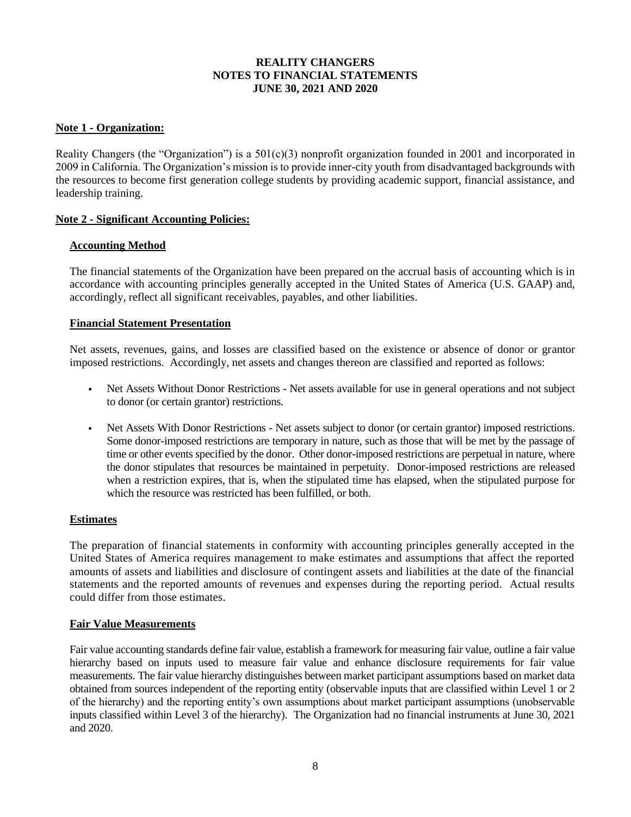# **Note 1 - Organization:**

Reality Changers (the "Organization") is a  $501(c)(3)$  nonprofit organization founded in 2001 and incorporated in 2009 in California. The Organization's mission is to provide inner-city youth from disadvantaged backgrounds with the resources to become first generation college students by providing academic support, financial assistance, and leadership training.

# **Note 2 - Significant Accounting Policies:**

# **Accounting Method**

The financial statements of the Organization have been prepared on the accrual basis of accounting which is in accordance with accounting principles generally accepted in the United States of America (U.S. GAAP) and, accordingly, reflect all significant receivables, payables, and other liabilities.

# **Financial Statement Presentation**

Net assets, revenues, gains, and losses are classified based on the existence or absence of donor or grantor imposed restrictions. Accordingly, net assets and changes thereon are classified and reported as follows:

- Net Assets Without Donor Restrictions Net assets available for use in general operations and not subject to donor (or certain grantor) restrictions.
- Net Assets With Donor Restrictions Net assets subject to donor (or certain grantor) imposed restrictions. Some donor-imposed restrictions are temporary in nature, such as those that will be met by the passage of time or other events specified by the donor. Other donor-imposed restrictions are perpetual in nature, where the donor stipulates that resources be maintained in perpetuity. Donor-imposed restrictions are released when a restriction expires, that is, when the stipulated time has elapsed, when the stipulated purpose for which the resource was restricted has been fulfilled, or both.

# **Estimates**

The preparation of financial statements in conformity with accounting principles generally accepted in the United States of America requires management to make estimates and assumptions that affect the reported amounts of assets and liabilities and disclosure of contingent assets and liabilities at the date of the financial statements and the reported amounts of revenues and expenses during the reporting period. Actual results could differ from those estimates.

# **Fair Value Measurements**

Fair value accounting standards define fair value, establish a framework for measuring fair value, outline a fair value hierarchy based on inputs used to measure fair value and enhance disclosure requirements for fair value measurements. The fair value hierarchy distinguishes between market participant assumptions based on market data obtained from sources independent of the reporting entity (observable inputs that are classified within Level 1 or 2 of the hierarchy) and the reporting entity's own assumptions about market participant assumptions (unobservable inputs classified within Level 3 of the hierarchy). The Organization had no financial instruments at June 30, 2021 and 2020.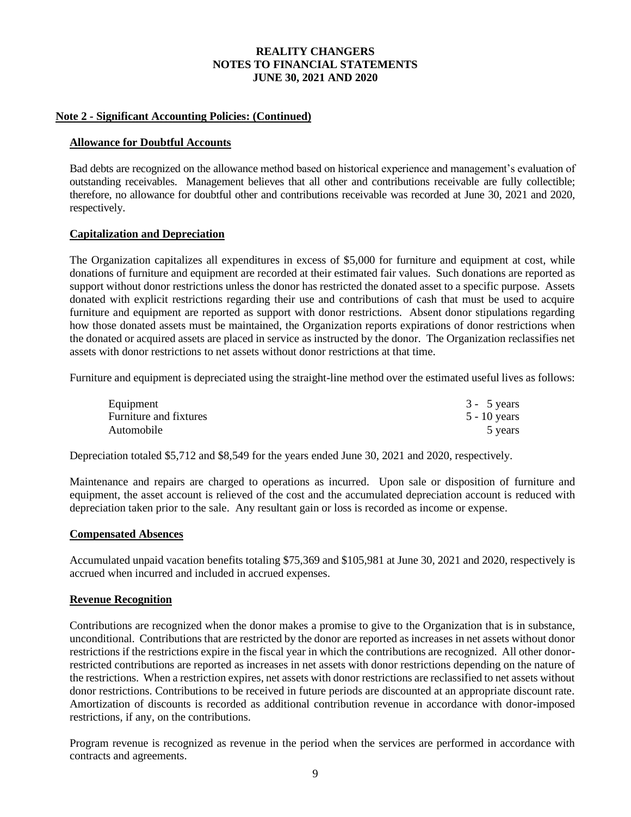### **Note 2 - Significant Accounting Policies: (Continued)**

#### **Allowance for Doubtful Accounts**

Bad debts are recognized on the allowance method based on historical experience and management's evaluation of outstanding receivables. Management believes that all other and contributions receivable are fully collectible; therefore, no allowance for doubtful other and contributions receivable was recorded at June 30, 2021 and 2020, respectively.

### **Capitalization and Depreciation**

The Organization capitalizes all expenditures in excess of \$5,000 for furniture and equipment at cost, while donations of furniture and equipment are recorded at their estimated fair values. Such donations are reported as support without donor restrictions unless the donor has restricted the donated asset to a specific purpose. Assets donated with explicit restrictions regarding their use and contributions of cash that must be used to acquire furniture and equipment are reported as support with donor restrictions. Absent donor stipulations regarding how those donated assets must be maintained, the Organization reports expirations of donor restrictions when the donated or acquired assets are placed in service as instructed by the donor. The Organization reclassifies net assets with donor restrictions to net assets without donor restrictions at that time.

Furniture and equipment is depreciated using the straight-line method over the estimated useful lives as follows:

| Equipment              | $3 - 5$ years |
|------------------------|---------------|
| Furniture and fixtures | 5 - 10 years  |
| Automobile             | 5 years       |

Depreciation totaled \$5,712 and \$8,549 for the years ended June 30, 2021 and 2020, respectively.

Maintenance and repairs are charged to operations as incurred. Upon sale or disposition of furniture and equipment, the asset account is relieved of the cost and the accumulated depreciation account is reduced with depreciation taken prior to the sale. Any resultant gain or loss is recorded as income or expense.

#### **Compensated Absences**

Accumulated unpaid vacation benefits totaling \$75,369 and \$105,981 at June 30, 2021 and 2020, respectively is accrued when incurred and included in accrued expenses.

#### **Revenue Recognition**

Contributions are recognized when the donor makes a promise to give to the Organization that is in substance, unconditional. Contributions that are restricted by the donor are reported as increases in net assets without donor restrictions if the restrictions expire in the fiscal year in which the contributions are recognized. All other donorrestricted contributions are reported as increases in net assets with donor restrictions depending on the nature of the restrictions. When a restriction expires, net assets with donor restrictions are reclassified to net assets without donor restrictions. Contributions to be received in future periods are discounted at an appropriate discount rate. Amortization of discounts is recorded as additional contribution revenue in accordance with donor-imposed restrictions, if any, on the contributions.

Program revenue is recognized as revenue in the period when the services are performed in accordance with contracts and agreements.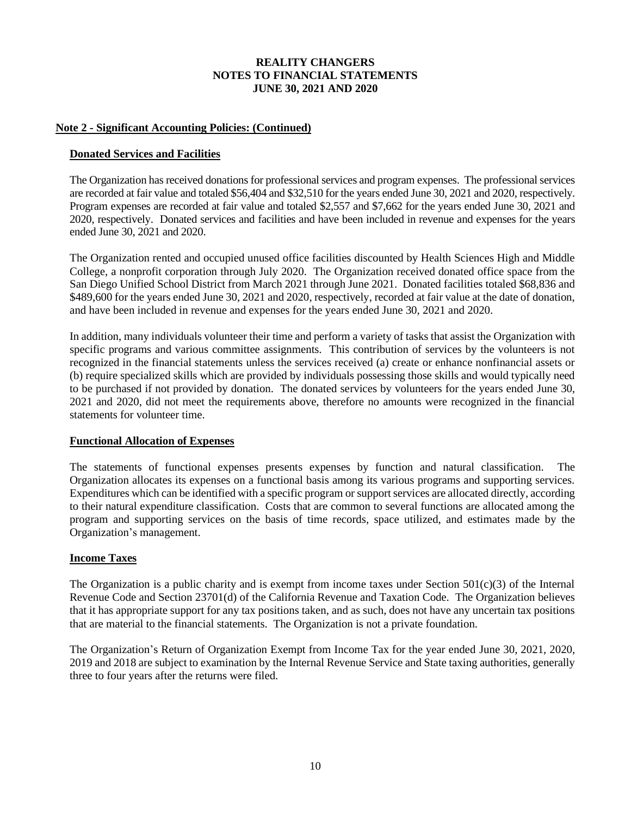# **Note 2 - Significant Accounting Policies: (Continued)**

### **Donated Services and Facilities**

The Organization has received donations for professional services and program expenses. The professional services are recorded at fair value and totaled \$56,404 and \$32,510 for the years ended June 30, 2021 and 2020, respectively. Program expenses are recorded at fair value and totaled \$2,557 and \$7,662 for the years ended June 30, 2021 and 2020, respectively. Donated services and facilities and have been included in revenue and expenses for the years ended June 30, 2021 and 2020.

The Organization rented and occupied unused office facilities discounted by Health Sciences High and Middle College, a nonprofit corporation through July 2020. The Organization received donated office space from the San Diego Unified School District from March 2021 through June 2021. Donated facilities totaled \$68,836 and \$489,600 for the years ended June 30, 2021 and 2020, respectively, recorded at fair value at the date of donation, and have been included in revenue and expenses for the years ended June 30, 2021 and 2020.

In addition, many individuals volunteer their time and perform a variety of tasks that assist the Organization with specific programs and various committee assignments. This contribution of services by the volunteers is not recognized in the financial statements unless the services received (a) create or enhance nonfinancial assets or (b) require specialized skills which are provided by individuals possessing those skills and would typically need to be purchased if not provided by donation. The donated services by volunteers for the years ended June 30, 2021 and 2020, did not meet the requirements above, therefore no amounts were recognized in the financial statements for volunteer time.

# **Functional Allocation of Expenses**

The statements of functional expenses presents expenses by function and natural classification. The Organization allocates its expenses on a functional basis among its various programs and supporting services. Expenditures which can be identified with a specific program or support services are allocated directly, according to their natural expenditure classification. Costs that are common to several functions are allocated among the program and supporting services on the basis of time records, space utilized, and estimates made by the Organization's management.

# **Income Taxes**

The Organization is a public charity and is exempt from income taxes under Section  $501(c)(3)$  of the Internal Revenue Code and Section 23701(d) of the California Revenue and Taxation Code. The Organization believes that it has appropriate support for any tax positions taken, and as such, does not have any uncertain tax positions that are material to the financial statements. The Organization is not a private foundation.

The Organization's Return of Organization Exempt from Income Tax for the year ended June 30, 2021, 2020, 2019 and 2018 are subject to examination by the Internal Revenue Service and State taxing authorities, generally three to four years after the returns were filed.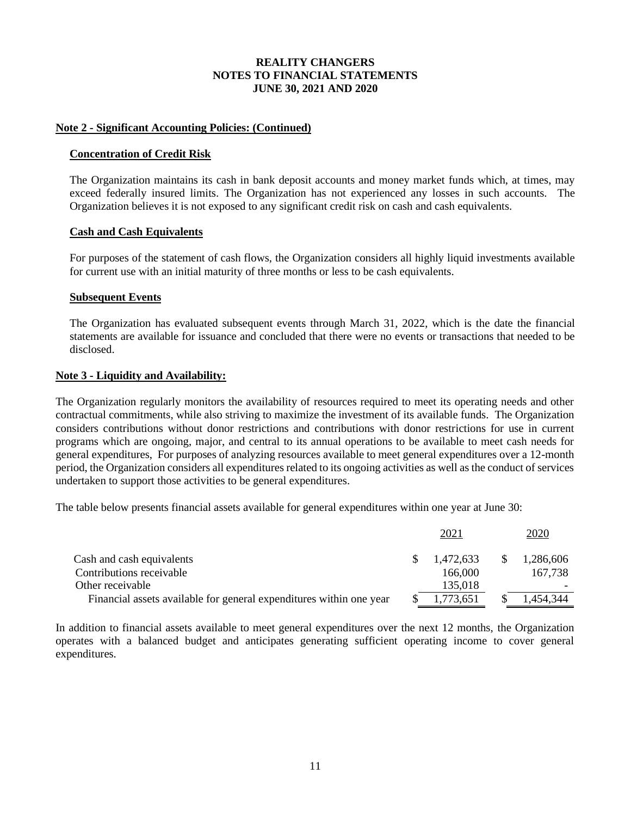### **Note 2 - Significant Accounting Policies: (Continued)**

#### **Concentration of Credit Risk**

The Organization maintains its cash in bank deposit accounts and money market funds which, at times, may exceed federally insured limits. The Organization has not experienced any losses in such accounts. The Organization believes it is not exposed to any significant credit risk on cash and cash equivalents.

### **Cash and Cash Equivalents**

For purposes of the statement of cash flows, the Organization considers all highly liquid investments available for current use with an initial maturity of three months or less to be cash equivalents.

### **Subsequent Events**

The Organization has evaluated subsequent events through March 31, 2022, which is the date the financial statements are available for issuance and concluded that there were no events or transactions that needed to be disclosed.

#### **Note 3 - Liquidity and Availability:**

The Organization regularly monitors the availability of resources required to meet its operating needs and other contractual commitments, while also striving to maximize the investment of its available funds. The Organization considers contributions without donor restrictions and contributions with donor restrictions for use in current programs which are ongoing, major, and central to its annual operations to be available to meet cash needs for general expenditures, For purposes of analyzing resources available to meet general expenditures over a 12-month period, the Organization considers all expenditures related to its ongoing activities as well as the conduct of services undertaken to support those activities to be general expenditures.

The table below presents financial assets available for general expenditures within one year at June 30:

|                                                                     | 2021      |               | 2020      |
|---------------------------------------------------------------------|-----------|---------------|-----------|
| Cash and cash equivalents                                           | 1,472,633 | <sup>\$</sup> | 1,286,606 |
| Contributions receivable                                            | 166,000   |               | 167,738   |
| Other receivable                                                    | 135,018   |               |           |
| Financial assets available for general expenditures within one year | 1,773,651 |               | .454.344  |

In addition to financial assets available to meet general expenditures over the next 12 months, the Organization operates with a balanced budget and anticipates generating sufficient operating income to cover general expenditures.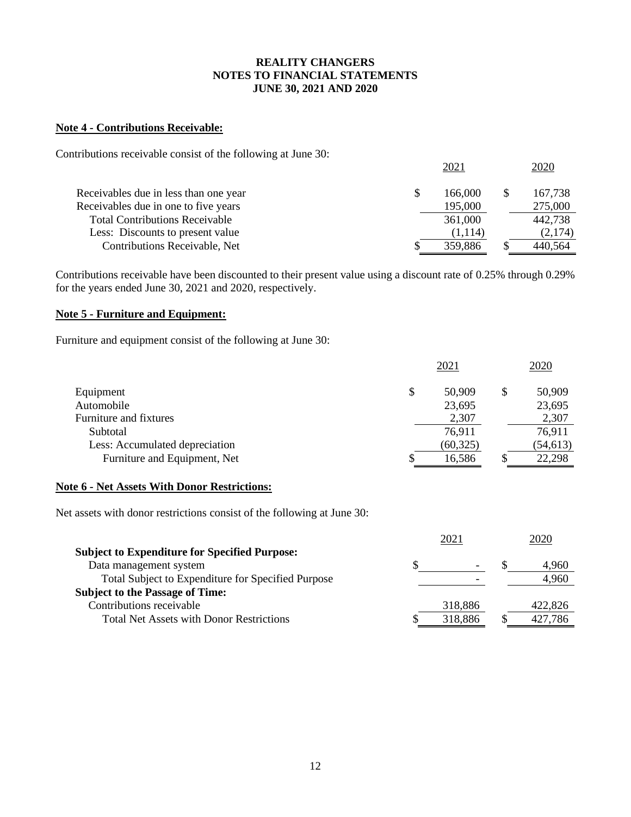### **Note 4 - Contributions Receivable:**

Contributions receivable consist of the following at June 30:

|                                       | 2021    | 2020    |
|---------------------------------------|---------|---------|
| Receivables due in less than one year | 166,000 | 167,738 |
| Receivables due in one to five years  | 195,000 | 275,000 |
| <b>Total Contributions Receivable</b> | 361,000 | 442,738 |
| Less: Discounts to present value      | (1.114) | (2,174) |
| Contributions Receivable, Net         | 359.886 | 440,564 |

Contributions receivable have been discounted to their present value using a discount rate of 0.25% through 0.29% for the years ended June 30, 2021 and 2020, respectively.

### **Note 5 - Furniture and Equipment:**

Furniture and equipment consist of the following at June 30:

|                                | 2021 |           |  | 2020      |  |  |
|--------------------------------|------|-----------|--|-----------|--|--|
| Equipment                      | \$   | 50,909    |  | 50,909    |  |  |
| Automobile                     |      | 23,695    |  | 23,695    |  |  |
| Furniture and fixtures         |      | 2,307     |  | 2,307     |  |  |
| Subtotal                       |      | 76,911    |  | 76,911    |  |  |
| Less: Accumulated depreciation |      | (60, 325) |  | (54, 613) |  |  |
| Furniture and Equipment, Net   | S    | 16,586    |  | 22,298    |  |  |

# **Note 6 - Net Assets With Donor Restrictions:**

Net assets with donor restrictions consist of the following at June 30:

|                                                      | 2021    | 2020    |
|------------------------------------------------------|---------|---------|
| <b>Subject to Expenditure for Specified Purpose:</b> |         |         |
| Data management system                               | ۰       | 4,960   |
| Total Subject to Expenditure for Specified Purpose   |         | 4,960   |
| <b>Subject to the Passage of Time:</b>               |         |         |
| Contributions receivable                             | 318,886 | 422,826 |
| <b>Total Net Assets with Donor Restrictions</b>      | 318,886 | 427,786 |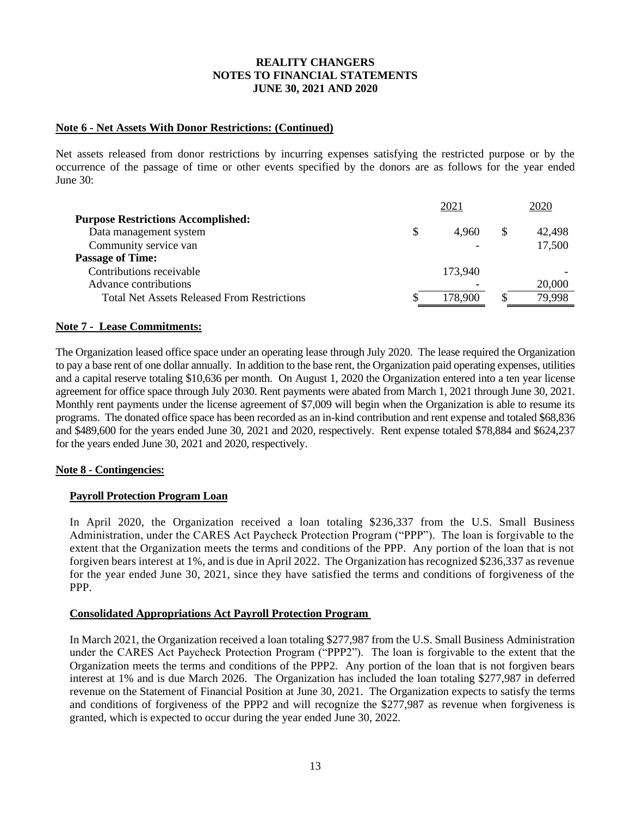### **Note 6 - Net Assets With Donor Restrictions: (Continued)**

Net assets released from donor restrictions by incurring expenses satisfying the restricted purpose or by the occurrence of the passage of time or other events specified by the donors are as follows for the year ended June 30:

|                                                    | 2021        | 2020   |
|----------------------------------------------------|-------------|--------|
| <b>Purpose Restrictions Accomplished:</b>          |             |        |
| Data management system                             | \$<br>4.960 | 42,498 |
| Community service van                              |             | 17,500 |
| <b>Passage of Time:</b>                            |             |        |
| Contributions receivable                           | 173,940     |        |
| Advance contributions                              |             | 20,000 |
| <b>Total Net Assets Released From Restrictions</b> | 178,900     | 79.998 |

### **Note 7 - Lease Commitments:**

The Organization leased office space under an operating lease through July 2020. The lease required the Organization to pay a base rent of one dollar annually. In addition to the base rent, the Organization paid operating expenses, utilities and a capital reserve totaling \$10,636 per month. On August 1, 2020 the Organization entered into a ten year license agreement for office space through July 2030. Rent payments were abated from March 1, 2021 through June 30, 2021. Monthly rent payments under the license agreement of \$7,009 will begin when the Organization is able to resume its programs. The donated office space has been recorded as an in-kind contribution and rent expense and totaled \$68,836 and \$489,600 for the years ended June 30, 2021 and 2020, respectively. Rent expense totaled \$78,884 and \$624,237 for the years ended June 30, 2021 and 2020, respectively.

#### **Note 8 - Contingencies:**

# **Payroll Protection Program Loan**

In April 2020, the Organization received a loan totaling \$236,337 from the U.S. Small Business Administration, under the CARES Act Paycheck Protection Program ("PPP"). The loan is forgivable to the extent that the Organization meets the terms and conditions of the PPP. Any portion of the loan that is not forgiven bears interest at 1%, and is due in April 2022. The Organization has recognized \$236,337 as revenue for the year ended June 30, 2021, since they have satisfied the terms and conditions of forgiveness of the PPP.

# **Consolidated Appropriations Act Payroll Protection Program**

In March 2021, the Organization received a loan totaling \$277,987 from the U.S. Small Business Administration under the CARES Act Paycheck Protection Program ("PPP2"). The loan is forgivable to the extent that the Organization meets the terms and conditions of the PPP2. Any portion of the loan that is not forgiven bears interest at 1% and is due March 2026. The Organization has included the loan totaling \$277,987 in deferred revenue on the Statement of Financial Position at June 30, 2021. The Organization expects to satisfy the terms and conditions of forgiveness of the PPP2 and will recognize the \$277,987 as revenue when forgiveness is granted, which is expected to occur during the year ended June 30, 2022.